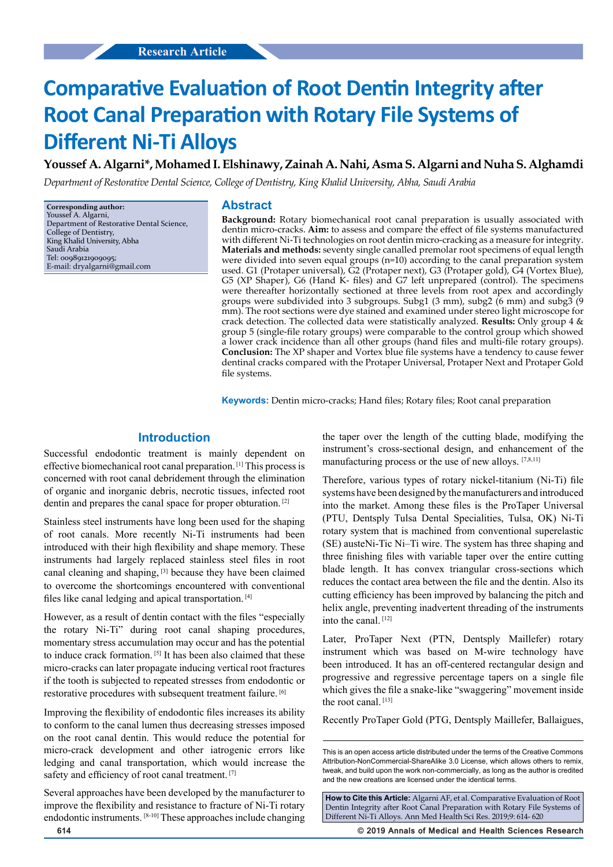# **Comparative Evaluation of Root Dentin Integrity after Root Canal Preparation with Rotary File Systems of Different Ni-Ti Alloys**

**Youssef A. Algarni\*, Mohamed I. Elshinawy, Zainah A. Nahi, Asma S. Algarni and Nuha S. Alghamdi**

*Department of Restorative Dental Science, College of Dentistry, King Khalid University, Abha, Saudi Arabia*

**Corresponding author:** Youssef A. Algarni, Department of Restorative Dental Science, College of Dentistry, King Khalid University, Abha Saudi Arabia Tel: 00989121909095; E-mail: dryalgarni@gmail.com

#### **Abstract**

**Background:** Rotary biomechanical root canal preparation is usually associated with dentin micro-cracks. **Aim:** to assess and compare the effect of file systems manufactured with different Ni-Ti technologies on root dentin micro-cracking as a measure for integrity. **Materials and methods:** seventy single canalled premolar root specimens of equal length were divided into seven equal groups (n=10) according to the canal preparation system used. G1 (Protaper universal), G2 (Protaper next), G3 (Protaper gold), G4 (Vortex Blue), G5 (XP Shaper), G6 (Hand  $K-$  files) and G7 left unprepared (control). The specimens were thereafter horizontally sectioned at three levels from root apex and accordingly groups were subdivided into 3 subgroups. Subg1 (3 mm), subg2 (6 mm) and subg3 (9 mm). The root sections were dye stained and examined under stereo light microscope for crack detection. The collected data were statistically analyzed. **Results:** Only group 4 & group 5 (single-file rotary groups) were comparable to the control group which showed a lower crack incidence than all other groups (hand files and multi-file rotary groups). **Conclusion:** The XP shaper and Vortex blue file systems have a tendency to cause fewer dentinal cracks compared with the Protaper Universal, Protaper Next and Protaper Gold file systems.

**Keywords:** Dentin micro-cracks; Hand files; Rotary files; Root canal preparation

## **Introduction**

Successful endodontic treatment is mainly dependent on effective biomechanical root canal preparation. [1] This process is concerned with root canal debridement through the elimination of organic and inorganic debris, necrotic tissues, infected root dentin and prepares the canal space for proper obturation. [2]

Stainless steel instruments have long been used for the shaping of root canals. More recently Ni-Ti instruments had been introduced with their high flexibility and shape memory. These instruments had largely replaced stainless steel files in root canal cleaning and shaping, [3] because they have been claimed to overcome the shortcomings encountered with conventional files like canal ledging and apical transportation. [4]

However, as a result of dentin contact with the files "especially the rotary Ni-Ti" during root canal shaping procedures, momentary stress accumulation may occur and has the potential to induce crack formation. [5] It has been also claimed that these micro-cracks can later propagate inducing vertical root fractures if the tooth is subjected to repeated stresses from endodontic or restorative procedures with subsequent treatment failure. [6]

Improving the flexibility of endodontic files increases its ability to conform to the canal lumen thus decreasing stresses imposed on the root canal dentin. This would reduce the potential for micro-crack development and other iatrogenic errors like ledging and canal transportation, which would increase the safety and efficiency of root canal treatment. [7]

Several approaches have been developed by the manufacturer to improve the flexibility and resistance to fracture of Ni-Ti rotary endodontic instruments. [8-10] These approaches include changing the taper over the length of the cutting blade, modifying the instrument's cross-sectional design, and enhancement of the manufacturing process or the use of new alloys. [7,8,11]

Therefore, various types of rotary nickel-titanium (Ni-Ti) file systems have been designed by the manufacturers and introduced into the market. Among these files is the ProTaper Universal (PTU, Dentsply Tulsa Dental Specialities, Tulsa, OK) Ni-Ti rotary system that is machined from conventional superelastic (SE) austeNi-Tic Ni–Ti wire. The system has three shaping and three finishing files with variable taper over the entire cutting blade length. It has convex triangular cross-sections which reduces the contact area between the file and the dentin. Also its cutting efficiency has been improved by balancing the pitch and helix angle, preventing inadvertent threading of the instruments into the canal. [12]

Later, ProTaper Next (PTN, Dentsply Maillefer) rotary instrument which was based on M-wire technology have been introduced. It has an off-centered rectangular design and progressive and regressive percentage tapers on a single file which gives the file a snake-like "swaggering" movement inside the root canal. [13]

Recently ProTaper Gold (PTG, Dentsply Maillefer, Ballaigues,

**How to Cite this Article:** Algarni AF, et al. Comparative Evaluation of Root Dentin Integrity after Root Canal Preparation with Rotary File Systems of Different Ni-Ti Alloys. Ann Med Health Sci Res. 2019;9: 614- 620

**614 © 2019 Annals of Medical and Health Sciences Research** 

This is an open access article distributed under the terms of the Creative Commons Attribution‑NonCommercial‑ShareAlike 3.0 License, which allows others to remix, tweak, and build upon the work non‑commercially, as long as the author is credited and the new creations are licensed under the identical terms.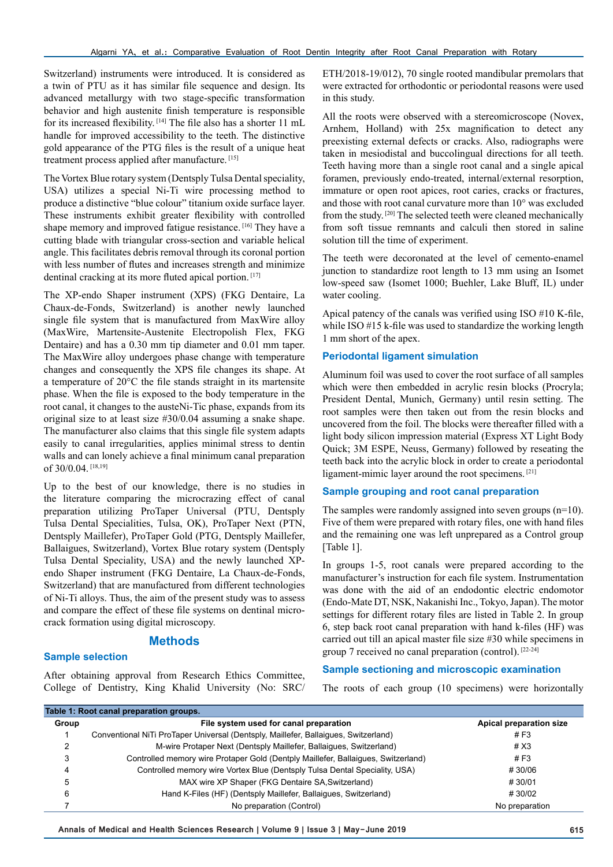Switzerland) instruments were introduced. It is considered as a twin of PTU as it has similar file sequence and design. Its advanced metallurgy with two stage-specific transformation behavior and high austenite finish temperature is responsible for its increased flexibility. [14] The file also has a shorter 11 mL handle for improved accessibility to the teeth. The distinctive gold appearance of the PTG files is the result of a unique heat treatment process applied after manufacture. [15]

The Vortex Blue rotary system (Dentsply Tulsa Dental speciality, USA) utilizes a special Ni-Ti wire processing method to produce a distinctive "blue colour" titanium oxide surface layer. These instruments exhibit greater flexibility with controlled shape memory and improved fatigue resistance.<sup>[16]</sup> They have a cutting blade with triangular cross-section and variable helical angle. This facilitates debris removal through its coronal portion with less number of flutes and increases strength and minimize dentinal cracking at its more fluted apical portion. [17]

The XP-endo Shaper instrument (XPS) (FKG Dentaire, La Chaux-de-Fonds, Switzerland) is another newly launched single file system that is manufactured from MaxWire alloy (MaxWire, Martensite-Austenite Electropolish Flex, FKG Dentaire) and has a 0.30 mm tip diameter and 0.01 mm taper. The MaxWire alloy undergoes phase change with temperature changes and consequently the XPS file changes its shape. At a temperature of 20°C the file stands straight in its martensite phase. When the file is exposed to the body temperature in the root canal, it changes to the austeNi-Tic phase, expands from its original size to at least size #30/0.04 assuming a snake shape. The manufacturer also claims that this single file system adapts easily to canal irregularities, applies minimal stress to dentin walls and can lonely achieve a final minimum canal preparation of 30/0.04.<sup>[18,19]</sup>

Up to the best of our knowledge, there is no studies in the literature comparing the microcrazing effect of canal preparation utilizing ProTaper Universal (PTU, Dentsply Tulsa Dental Specialities, Tulsa, OK), ProTaper Next (PTN, Dentsply Maillefer), ProTaper Gold (PTG, Dentsply Maillefer, Ballaigues, Switzerland), Vortex Blue rotary system (Dentsply Tulsa Dental Speciality, USA) and the newly launched XPendo Shaper instrument (FKG Dentaire, La Chaux-de-Fonds, Switzerland) that are manufactured from different technologies of Ni-Ti alloys. Thus, the aim of the present study was to assess and compare the effect of these file systems on dentinal microcrack formation using digital microscopy.

## **Methods**

#### **Sample selection**

After obtaining approval from Research Ethics Committee, College of Dentistry, King Khalid University (No: SRC/ ETH/2018-19/012), 70 single rooted mandibular premolars that were extracted for orthodontic or periodontal reasons were used in this study.

All the roots were observed with a stereomicroscope (Novex, Arnhem, Holland) with 25x magnification to detect any preexisting external defects or cracks. Also, radiographs were taken in mesiodistal and buccolingual directions for all teeth. Teeth having more than a single root canal and a single apical foramen, previously endo-treated, internal/external resorption, immature or open root apices, root caries, cracks or fractures, and those with root canal curvature more than 10° was excluded from the study. [20] The selected teeth were cleaned mechanically from soft tissue remnants and calculi then stored in saline solution till the time of experiment.

The teeth were decoronated at the level of cemento-enamel junction to standardize root length to 13 mm using an Isomet low-speed saw (Isomet 1000; Buehler, Lake Bluff, IL) under water cooling.

Apical patency of the canals was verified using ISO #10 K-file, while ISO #15 k-file was used to standardize the working length 1 mm short of the apex.

#### **Periodontal ligament simulation**

Aluminum foil was used to cover the root surface of all samples which were then embedded in acrylic resin blocks (Procryla; President Dental, Munich, Germany) until resin setting. The root samples were then taken out from the resin blocks and uncovered from the foil. The blocks were thereafter filled with a light body silicon impression material (Express XT Light Body Quick; 3M ESPE, Neuss, Germany) followed by reseating the teeth back into the acrylic block in order to create a periodontal ligament-mimic layer around the root specimens. [21]

#### **Sample grouping and root canal preparation**

The samples were randomly assigned into seven groups  $(n=10)$ . Five of them were prepared with rotary files, one with hand files and the remaining one was left unprepared as a Control group [Table 1].

In groups 1-5, root canals were prepared according to the manufacturer's instruction for each file system. Instrumentation was done with the aid of an endodontic electric endomotor (Endo-Mate DT, NSK, Nakanishi Inc., Tokyo, Japan). The motor settings for different rotary files are listed in Table 2. In group 6, step back root canal preparation with hand k-files (HF) was carried out till an apical master file size #30 while specimens in group 7 received no canal preparation (control). [22-24]

#### **Sample sectioning and microscopic examination**

The roots of each group (10 specimens) were horizontally

| Table 1: Root canal preparation groups. |                                                                                     |                         |  |  |
|-----------------------------------------|-------------------------------------------------------------------------------------|-------------------------|--|--|
| Group                                   | File system used for canal preparation                                              | Apical preparation size |  |  |
|                                         | Conventional NiTi ProTaper Universal (Dentsply, Maillefer, Ballaigues, Switzerland) | # $F3$                  |  |  |
| 2                                       | M-wire Protaper Next (Dentsply Maillefer, Ballaigues, Switzerland)                  | #X3                     |  |  |
| 3                                       | Controlled memory wire Protaper Gold (Dentply Maillefer, Ballaigues, Switzerland)   | # $F3$                  |  |  |
| 4                                       | Controlled memory wire Vortex Blue (Dentsply Tulsa Dental Speciality, USA)          | #30/06                  |  |  |
| 5                                       | MAX wire XP Shaper (FKG Dentaire SA, Switzerland)                                   | #30/01                  |  |  |
| 6                                       | Hand K-Files (HF) (Dentsply Maillefer, Ballaigues, Switzerland)                     | #30/02                  |  |  |
|                                         | No preparation (Control)                                                            | No preparation          |  |  |

**Annals of Medical and Health Sciences Research | Volume 9 | Issue 3 | May-June 2019 615**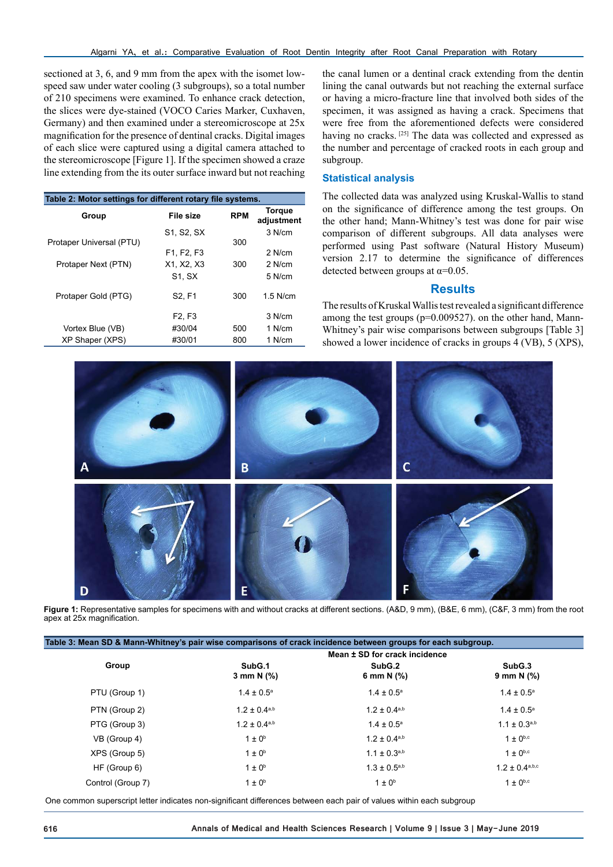sectioned at 3, 6, and 9 mm from the apex with the isomet lowspeed saw under water cooling (3 subgroups), so a total number of 210 specimens were examined. To enhance crack detection, the slices were dye-stained (VOCO Caries Marker, Cuxhaven, Germany) and then examined under a stereomicroscope at 25x magnification for the presence of dentinal cracks. Digital images of each slice were captured using a digital camera attached to the stereomicroscope [Figure 1]. If the specimen showed a craze line extending from the its outer surface inward but not reaching

| Table 2: Motor settings for different rotary file systems. |                                                  |     |                             |  |  |  |
|------------------------------------------------------------|--------------------------------------------------|-----|-----------------------------|--|--|--|
| Group                                                      | <b>RPM</b><br>File size                          |     | <b>Torque</b><br>adjustment |  |  |  |
|                                                            | S1, S2, SX                                       |     | 3 N/cm                      |  |  |  |
| Protaper Universal (PTU)                                   |                                                  | 300 |                             |  |  |  |
|                                                            | F <sub>1</sub> . F <sub>2</sub> . F <sub>3</sub> |     | $2$ N/cm                    |  |  |  |
| Protaper Next (PTN)                                        | X1. X2. X3                                       | 300 | $2$ N/cm                    |  |  |  |
|                                                            | <b>S1. SX</b>                                    |     | 5 N/cm                      |  |  |  |
| Protaper Gold (PTG)                                        | S <sub>2</sub> . F <sub>1</sub>                  | 300 | $1.5$ N/cm                  |  |  |  |
|                                                            | F <sub>2</sub> , F <sub>3</sub>                  |     | 3 N/cm                      |  |  |  |
| Vortex Blue (VB)                                           | #30/04                                           | 500 | 1 N/cm                      |  |  |  |
| XP Shaper (XPS)                                            | #30/01                                           | 800 | 1 N/cm                      |  |  |  |

the canal lumen or a dentinal crack extending from the dentin lining the canal outwards but not reaching the external surface or having a micro-fracture line that involved both sides of the specimen, it was assigned as having a crack. Specimens that were free from the aforementioned defects were considered having no cracks. [25] The data was collected and expressed as the number and percentage of cracked roots in each group and subgroup.

### **Statistical analysis**

The collected data was analyzed using Kruskal-Wallis to stand on the significance of difference among the test groups. On the other hand; Mann-Whitney's test was done for pair wise comparison of different subgroups. All data analyses were performed using Past software (Natural History Museum) version 2.17 to determine the significance of differences detected between groups at  $\alpha$ =0.05.

#### **Results**

The results of Kruskal Wallis test revealed a significant difference among the test groups (p=0.009527). on the other hand, Mann-Whitney's pair wise comparisons between subgroups [Table 3] showed a lower incidence of cracks in groups 4 (VB), 5 (XPS),



**Figure 1:** Representative samples for specimens with and without cracks at different sections. (A&D, 9 mm), (B&E, 6 mm), (C&F, 3 mm) from the root apex at 25x magnification.

| Table 3: Mean SD & Mann-Whitney's pair wise comparisons of crack incidence between groups for each subgroup. |                               |                        |                        |  |  |  |
|--------------------------------------------------------------------------------------------------------------|-------------------------------|------------------------|------------------------|--|--|--|
|                                                                                                              | Mean ± SD for crack incidence |                        |                        |  |  |  |
| Group                                                                                                        | SubG.1<br>3 mm N $(\%)$       | SubG.2<br>6 mm N $(%)$ | SubG.3<br>9 mm N $(%)$ |  |  |  |
| PTU (Group 1)                                                                                                | $1.4 \pm 0.5^{\text{a}}$      | $1.4 \pm 0.5^{\circ}$  | $1.4 \pm 0.5^{\circ}$  |  |  |  |
| PTN (Group 2)                                                                                                | $1.2 \pm 0.4^{a,b}$           | $1.2 \pm 0.4^{a,b}$    | $1.4 \pm 0.5^{\circ}$  |  |  |  |
| PTG (Group 3)                                                                                                | $1.2 \pm 0.4^{a,b}$           | $1.4 \pm 0.5^{\circ}$  | $1.1 \pm 0.3^{a,b}$    |  |  |  |
| VB (Group 4)                                                                                                 | $1 \pm 0^b$                   | $1.2 \pm 0.4^{a,b}$    | $1 \pm 0^{b,c}$        |  |  |  |
| XPS (Group 5)                                                                                                | $1 \pm 0^b$                   | $1.1 \pm 0.3^{a,b}$    | $1 \pm 0^{b,c}$        |  |  |  |
| HF (Group 6)                                                                                                 | $1 \pm 0^b$                   | $1.3 \pm 0.5^{a,b}$    | $1.2 \pm 0.4^{a,b,c}$  |  |  |  |
| Control (Group 7)                                                                                            | $1 \pm 0^b$                   | $1 \pm 0^b$            | $1 \pm 0^{b,c}$        |  |  |  |

One common superscript letter indicates non-significant differences between each pair of values within each subgroup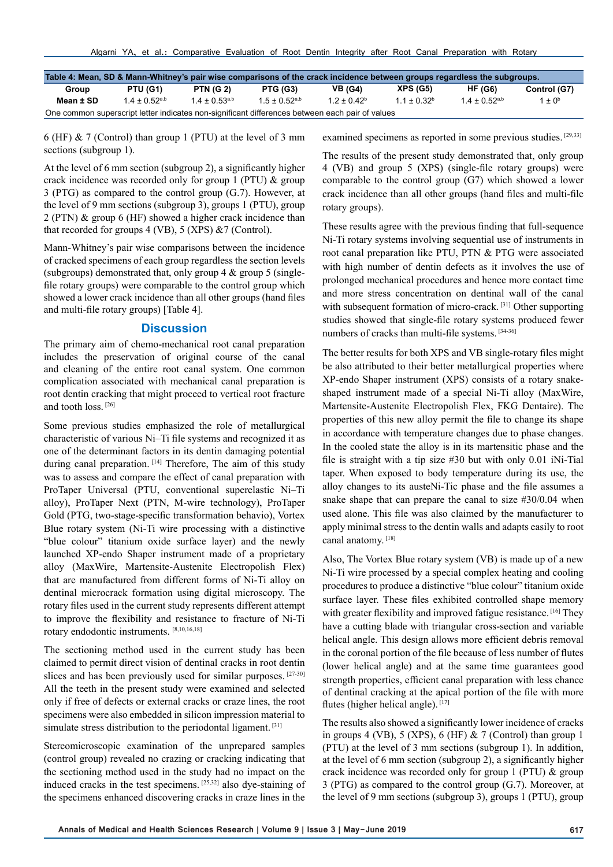| Table 4: Mean, SD & Mann-Whitney's pair wise comparisons of the crack incidence between groups regardless the subgroups. |              |                  |                 |                |                 |                |              |
|--------------------------------------------------------------------------------------------------------------------------|--------------|------------------|-----------------|----------------|-----------------|----------------|--------------|
| Group                                                                                                                    | PTU (G1)     | <b>PTN (G 2)</b> | PTG (G3)        | <b>VB</b> (G4) | <b>XPS (G5)</b> | <b>HF (G6)</b> | Control (G7) |
| Mean ± SD                                                                                                                | $14 + 0.52a$ | $14 + 0.53a,b$   | $1.5 + 0.52a,b$ | $12 + 0.42b$   | $11 + 0.32b$    | $14 + 0.52a,b$ | $1 + 0^b$    |
| One common superscript letter indicates non-significant differences between each pair of values                          |              |                  |                 |                |                 |                |              |

6 (HF) & 7 (Control) than group 1 (PTU) at the level of 3 mm sections (subgroup 1).

At the level of 6 mm section (subgroup 2), a significantly higher crack incidence was recorded only for group 1 (PTU) & group 3 (PTG) as compared to the control group (G.7). However, at the level of 9 mm sections (subgroup 3), groups 1 (PTU), group 2 (PTN) & group 6 (HF) showed a higher crack incidence than that recorded for groups 4 (VB), 5 (XPS) &7 (Control).

Mann-Whitney's pair wise comparisons between the incidence of cracked specimens of each group regardless the section levels (subgroups) demonstrated that, only group  $4 \&$  group  $5$  (singlefile rotary groups) were comparable to the control group which showed a lower crack incidence than all other groups (hand files and multi-file rotary groups) [Table 4].

#### **Discussion**

The primary aim of chemo-mechanical root canal preparation includes the preservation of original course of the canal and cleaning of the entire root canal system. One common complication associated with mechanical canal preparation is root dentin cracking that might proceed to vertical root fracture and tooth loss. [26]

Some previous studies emphasized the role of metallurgical characteristic of various Ni–Ti file systems and recognized it as one of the determinant factors in its dentin damaging potential during canal preparation. [14] Therefore, The aim of this study was to assess and compare the effect of canal preparation with ProTaper Universal (PTU, conventional superelastic Ni–Ti alloy), ProTaper Next (PTN, M-wire technology), ProTaper Gold (PTG, two-stage-specific transformation behavio), Vortex Blue rotary system (Ni-Ti wire processing with a distinctive "blue colour" titanium oxide surface layer) and the newly launched XP-endo Shaper instrument made of a proprietary alloy (MaxWire, Martensite-Austenite Electropolish Flex) that are manufactured from different forms of Ni-Ti alloy on dentinal microcrack formation using digital microscopy. The rotary files used in the current study represents different attempt to improve the flexibility and resistance to fracture of Ni-Ti rotary endodontic instruments. [8,10,16,18]

The sectioning method used in the current study has been claimed to permit direct vision of dentinal cracks in root dentin slices and has been previously used for similar purposes. [27-30] All the teeth in the present study were examined and selected only if free of defects or external cracks or craze lines, the root specimens were also embedded in silicon impression material to simulate stress distribution to the periodontal ligament.<sup>[31]</sup>

Stereomicroscopic examination of the unprepared samples (control group) revealed no crazing or cracking indicating that the sectioning method used in the study had no impact on the induced cracks in the test specimens. [25,32] also dye-staining of the specimens enhanced discovering cracks in craze lines in the examined specimens as reported in some previous studies. [29,33]

The results of the present study demonstrated that, only group 4 (VB) and group 5 (XPS) (single-file rotary groups) were comparable to the control group (G7) which showed a lower crack incidence than all other groups (hand files and multi-file rotary groups).

These results agree with the previous finding that full-sequence Ni-Ti rotary systems involving sequential use of instruments in root canal preparation like PTU, PTN & PTG were associated with high number of dentin defects as it involves the use of prolonged mechanical procedures and hence more contact time and more stress concentration on dentinal wall of the canal with subsequent formation of micro-crack.<sup>[31]</sup> Other supporting studies showed that single-file rotary systems produced fewer numbers of cracks than multi-file systems. [34-36]

The better results for both XPS and VB single-rotary files might be also attributed to their better metallurgical properties where XP-endo Shaper instrument (XPS) consists of a rotary snakeshaped instrument made of a special Ni-Ti alloy (MaxWire, Martensite-Austenite Electropolish Flex, FKG Dentaire). The properties of this new alloy permit the file to change its shape in accordance with temperature changes due to phase changes. In the cooled state the alloy is in its martensitic phase and the file is straight with a tip size #30 but with only 0.01 iNi-Tial taper. When exposed to body temperature during its use, the alloy changes to its austeNi-Tic phase and the file assumes a snake shape that can prepare the canal to size #30/0.04 when used alone. This file was also claimed by the manufacturer to apply minimal stress to the dentin walls and adapts easily to root canal anatomy. [18]

Also, The Vortex Blue rotary system (VB) is made up of a new Ni-Ti wire processed by a special complex heating and cooling procedures to produce a distinctive "blue colour" titanium oxide surface layer. These files exhibited controlled shape memory with greater flexibility and improved fatigue resistance. [16] They have a cutting blade with triangular cross-section and variable helical angle. This design allows more efficient debris removal in the coronal portion of the file because of less number of flutes (lower helical angle) and at the same time guarantees good strength properties, efficient canal preparation with less chance of dentinal cracking at the apical portion of the file with more flutes (higher helical angle). [17]

The results also showed a significantly lower incidence of cracks in groups 4 (VB), 5 (XPS), 6 (HF)  $& 7$  (Control) than group 1 (PTU) at the level of 3 mm sections (subgroup 1). In addition, at the level of 6 mm section (subgroup 2), a significantly higher crack incidence was recorded only for group 1 (PTU) & group 3 (PTG) as compared to the control group (G.7). Moreover, at the level of 9 mm sections (subgroup 3), groups 1 (PTU), group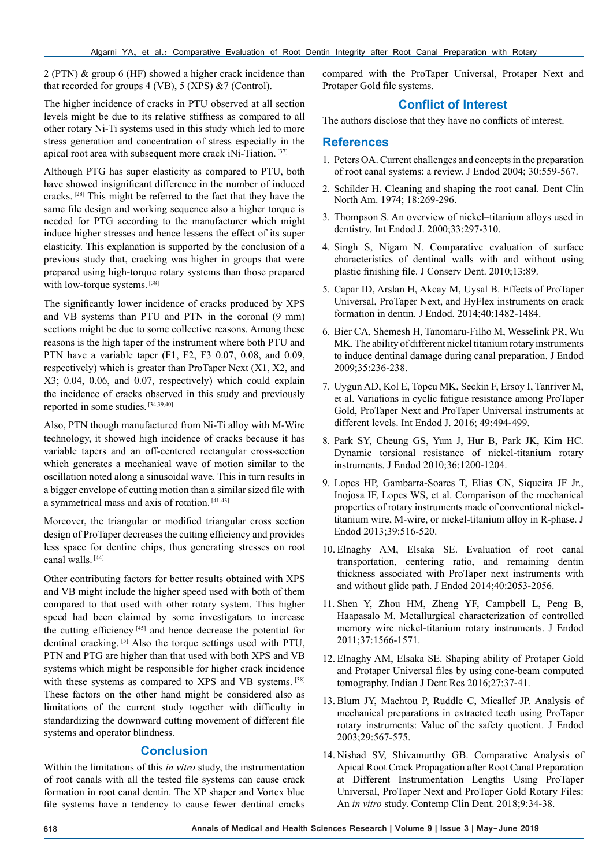2 (PTN) & group 6 (HF) showed a higher crack incidence than that recorded for groups  $4 (VB)$ ,  $5 (XPS) \& 7 (Control)$ .

The higher incidence of cracks in PTU observed at all section levels might be due to its relative stiffness as compared to all other rotary Ni-Ti systems used in this study which led to more stress generation and concentration of stress especially in the apical root area with subsequent more crack iNi-Tiation. [37]

Although PTG has super elasticity as compared to PTU, both have showed insignificant difference in the number of induced cracks. [28] This might be referred to the fact that they have the same file design and working sequence also a higher torque is needed for PTG according to the manufacturer which might induce higher stresses and hence lessens the effect of its super elasticity. This explanation is supported by the conclusion of a previous study that, cracking was higher in groups that were prepared using high-torque rotary systems than those prepared with low-torque systems. [38]

The significantly lower incidence of cracks produced by XPS and VB systems than PTU and PTN in the coronal (9 mm) sections might be due to some collective reasons. Among these reasons is the high taper of the instrument where both PTU and PTN have a variable taper (F1, F2, F3 0.07, 0.08, and 0.09, respectively) which is greater than ProTaper Next (X1, X2, and X3; 0.04, 0.06, and 0.07, respectively) which could explain the incidence of cracks observed in this study and previously reported in some studies. [34,39,40]

Also, PTN though manufactured from Ni-Ti alloy with M-Wire technology, it showed high incidence of cracks because it has variable tapers and an off-centered rectangular cross-section which generates a mechanical wave of motion similar to the oscillation noted along a sinusoidal wave. This in turn results in a bigger envelope of cutting motion than a similar sized file with a symmetrical mass and axis of rotation. [41-43]

Moreover, the triangular or modified triangular cross section design of ProTaper decreases the cutting efficiency and provides less space for dentine chips, thus generating stresses on root canal walls. [44]

Other contributing factors for better results obtained with XPS and VB might include the higher speed used with both of them compared to that used with other rotary system. This higher speed had been claimed by some investigators to increase the cutting efficiency [45] and hence decrease the potential for dentinal cracking. [5] Also the torque settings used with PTU, PTN and PTG are higher than that used with both XPS and VB systems which might be responsible for higher crack incidence with these systems as compared to XPS and VB systems. [38] These factors on the other hand might be considered also as limitations of the current study together with difficulty in standardizing the downward cutting movement of different file systems and operator blindness.

## **Conclusion**

Within the limitations of this *in vitro* study, the instrumentation of root canals with all the tested file systems can cause crack formation in root canal dentin. The XP shaper and Vortex blue file systems have a tendency to cause fewer dentinal cracks compared with the ProTaper Universal, Protaper Next and Protaper Gold file systems.

## **Conflict of Interest**

The authors disclose that they have no conflicts of interest.

## **References**

- 1. Peters OA. Current challenges and concepts in the preparation of root canal systems: a review. J Endod 2004; 30:559-567.
- 2. Schilder H. Cleaning and shaping the root canal. Dent Clin North Am. 1974; 18:269-296.
- 3. Thompson S. An overview of nickel–titanium alloys used in dentistry. Int Endod J. 2000;33:297-310.
- 4. Singh S, Nigam N. Comparative evaluation of surface characteristics of dentinal walls with and without using plastic finishing file. J Conserv Dent. 2010;13:89.
- 5. Capar ID, Arslan H, Akcay M, Uysal B. Effects of ProTaper Universal, ProTaper Next, and HyFlex instruments on crack formation in dentin. J Endod. 2014;40:1482-1484.
- 6. Bier CA, Shemesh H, Tanomaru-Filho M, Wesselink PR, Wu MK. The ability of different nickel titanium rotary instruments to induce dentinal damage during canal preparation. J Endod 2009;35:236-238.
- 7. Uygun AD, Kol E, Topcu MK, Seckin F, Ersoy I, Tanriver M, et al. Variations in cyclic fatigue resistance among ProTaper Gold, ProTaper Next and ProTaper Universal instruments at different levels. Int Endod J. 2016; 49:494-499.
- 8. Park SY, Cheung GS, Yum J, Hur B, Park JK, Kim HC. Dynamic torsional resistance of nickel-titanium rotary instruments. J Endod 2010;36:1200-1204.
- 9. Lopes HP, Gambarra-Soares T, Elias CN, Siqueira JF Jr., Inojosa IF, Lopes WS, et al. Comparison of the mechanical properties of rotary instruments made of conventional nickeltitanium wire, M-wire, or nickel-titanium alloy in R-phase. J Endod 2013;39:516-520.
- 10. Elnaghy AM, Elsaka SE. Evaluation of root canal transportation, centering ratio, and remaining dentin thickness associated with ProTaper next instruments with and without glide path. J Endod 2014;40:2053-2056.
- 11. Shen Y, Zhou HM, Zheng YF, Campbell L, Peng B, Haapasalo M. Metallurgical characterization of controlled memory wire nickel-titanium rotary instruments. J Endod 2011;37:1566-1571.
- 12. Elnaghy AM, Elsaka SE. Shaping ability of Protaper Gold and Protaper Universal files by using cone-beam computed tomography. Indian J Dent Res 2016;27:37-41.
- 13. Blum JY, Machtou P, Ruddle C, Micallef JP. Analysis of mechanical preparations in extracted teeth using ProTaper rotary instruments: Value of the safety quotient. J Endod 2003;29:567-575.
- 14. Nishad SV, Shivamurthy GB. Comparative Analysis of Apical Root Crack Propagation after Root Canal Preparation at Different Instrumentation Lengths Using ProTaper Universal, ProTaper Next and ProTaper Gold Rotary Files: An *in vitro* study. Contemp Clin Dent. 2018;9:34-38.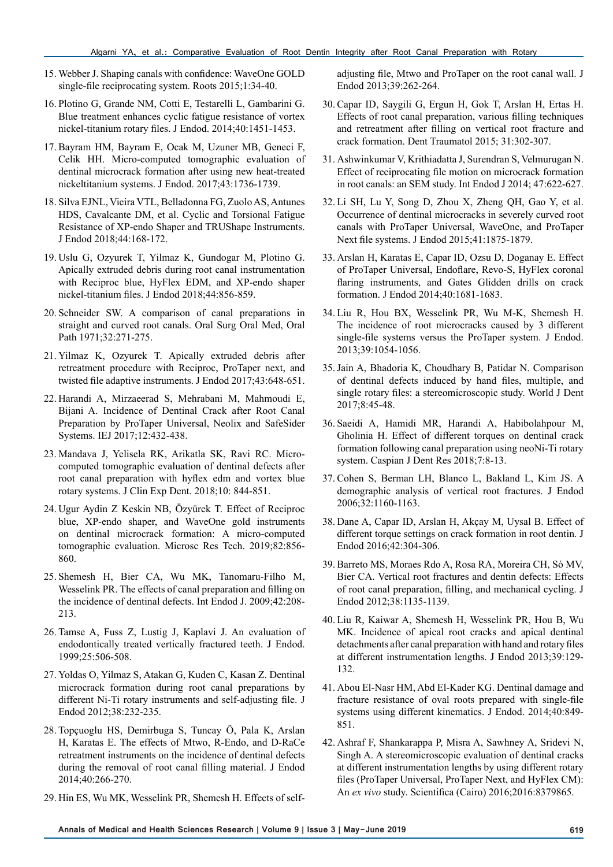- 15. Webber J. Shaping canals with confidence: WaveOne GOLD single-file reciprocating system. Roots 2015;1:34-40.
- 16. Plotino G, Grande NM, Cotti E, Testarelli L, Gambarini G. Blue treatment enhances cyclic fatigue resistance of vortex nickel-titanium rotary files. J Endod. 2014;40:1451-1453.
- 17. Bayram HM, Bayram E, Ocak M, Uzuner MB, Geneci F, Celik HH. Micro-computed tomographic evaluation of dentinal microcrack formation after using new heat-treated nickeltitanium systems. J Endod. 2017;43:1736-1739.
- 18. Silva EJNL, Vieira VTL, Belladonna FG, Zuolo AS, Antunes HDS, Cavalcante DM, et al. Cyclic and Torsional Fatigue Resistance of XP-endo Shaper and TRUShape Instruments. J Endod 2018;44:168-172.
- 19. Uslu G, Ozyurek T, Yilmaz K, Gundogar M, Plotino G. Apically extruded debris during root canal instrumentation with Reciproc blue, HyFlex EDM, and XP-endo shaper nickel-titanium files. J Endod 2018;44:856-859.
- 20. Schneider SW. A comparison of canal preparations in straight and curved root canals. Oral Surg Oral Med, Oral Path 1971;32:271-275.
- 21. Yilmaz K, Ozyurek T. Apically extruded debris after retreatment procedure with Reciproc, ProTaper next, and twisted file adaptive instruments. J Endod 2017;43:648-651.
- 22. Harandi A, Mirzaeerad S, Mehrabani M, Mahmoudi E, Bijani A. Incidence of Dentinal Crack after Root Canal Preparation by ProTaper Universal, Neolix and SafeSider Systems. IEJ 2017;12:432-438.
- 23. Mandava J, Yelisela RK, Arikatla SK, Ravi RC. Microcomputed tomographic evaluation of dentinal defects after root canal preparation with hyflex edm and vortex blue rotary systems. J Clin Exp Dent. 2018;10: 844-851.
- 24. Ugur Aydin Z Keskin NB, Özyürek T. Effect of Reciproc blue, XP-endo shaper, and WaveOne gold instruments on dentinal microcrack formation: A micro-computed tomographic evaluation. Microsc Res Tech. 2019;82:856- 860.
- 25. Shemesh H, Bier CA, Wu MK, Tanomaru-Filho M, Wesselink PR. The effects of canal preparation and filling on the incidence of dentinal defects. Int Endod J. 2009;42:208- 213.
- 26. Tamse A, Fuss Z, Lustig J, Kaplavi J. An evaluation of endodontically treated vertically fractured teeth. J Endod. 1999;25:506-508.
- 27. Yoldas O, Yilmaz S, Atakan G, Kuden C, Kasan Z. Dentinal microcrack formation during root canal preparations by different Ni-Ti rotary instruments and self-adjusting file. J Endod 2012;38:232-235.
- 28. Topçuoglu HS, Demirbuga S, Tuncay Ö, Pala K, Arslan H, Karatas E. The effects of Mtwo, R-Endo, and D-RaCe retreatment instruments on the incidence of dentinal defects during the removal of root canal filling material. J Endod 2014;40:266-270.
- 29. Hin ES, Wu MK, Wesselink PR, Shemesh H. Effects of self-

adjusting file, Mtwo and ProTaper on the root canal wall. J Endod 2013;39:262-264.

- 30. Capar ID, Saygili G, Ergun H, Gok T, Arslan H, Ertas H. Effects of root canal preparation, various filling techniques and retreatment after filling on vertical root fracture and crack formation. Dent Traumatol 2015; 31:302-307.
- 31. Ashwinkumar V, Krithiadatta J, Surendran S, Velmurugan N. Effect of reciprocating file motion on microcrack formation in root canals: an SEM study. Int Endod J 2014; 47:622-627.
- 32. Li SH, Lu Y, Song D, Zhou X, Zheng QH, Gao Y, et al. Occurrence of dentinal microcracks in severely curved root canals with ProTaper Universal, WaveOne, and ProTaper Next file systems. J Endod 2015;41:1875-1879.
- 33. Arslan H, Karatas E, Capar ID, Ozsu D, Doganay E. Effect of ProTaper Universal, Endoflare, Revo-S, HyFlex coronal flaring instruments, and Gates Glidden drills on crack formation. J Endod 2014;40:1681-1683.
- 34. Liu R, Hou BX, Wesselink PR, Wu M-K, Shemesh H. The incidence of root microcracks caused by 3 different single-file systems versus the ProTaper system. J Endod. 2013;39:1054-1056.
- 35.Jain A, Bhadoria K, Choudhary B, Patidar N. Comparison of dentinal defects induced by hand files, multiple, and single rotary files: a stereomicroscopic study. World J Dent 2017;8:45-48.
- 36. Saeidi A, Hamidi MR, Harandi A, Habibolahpour M, Gholinia H. Effect of different torques on dentinal crack formation following canal preparation using neoNi-Ti rotary system. Caspian J Dent Res 2018;7:8-13.
- 37. Cohen S, Berman LH, Blanco L, Bakland L, Kim JS. A demographic analysis of vertical root fractures. J Endod 2006;32:1160-1163.
- 38. Dane A, Capar ID, Arslan H, Akçay M, Uysal B. Effect of different torque settings on crack formation in root dentin. J Endod 2016;42:304-306.
- 39. Barreto MS, Moraes Rdo A, Rosa RA, Moreira CH, Só MV, Bier CA. Vertical root fractures and dentin defects: Effects of root canal preparation, filling, and mechanical cycling. J Endod 2012;38:1135-1139.
- 40. Liu R, Kaiwar A, Shemesh H, Wesselink PR, Hou B, Wu MK. Incidence of apical root cracks and apical dentinal detachments after canal preparation with hand and rotary files at different instrumentation lengths. J Endod 2013;39:129- 132.
- 41. Abou El-Nasr HM, Abd El-Kader KG. Dentinal damage and fracture resistance of oval roots prepared with single-file systems using different kinematics. J Endod. 2014;40:849- 851.
- 42. Ashraf F, Shankarappa P, Misra A, Sawhney A, Sridevi N, Singh A. A stereomicroscopic evaluation of dentinal cracks at different instrumentation lengths by using different rotary files (ProTaper Universal, ProTaper Next, and HyFlex CM): An *ex vivo* study. Scientifica (Cairo) 2016;2016:8379865.